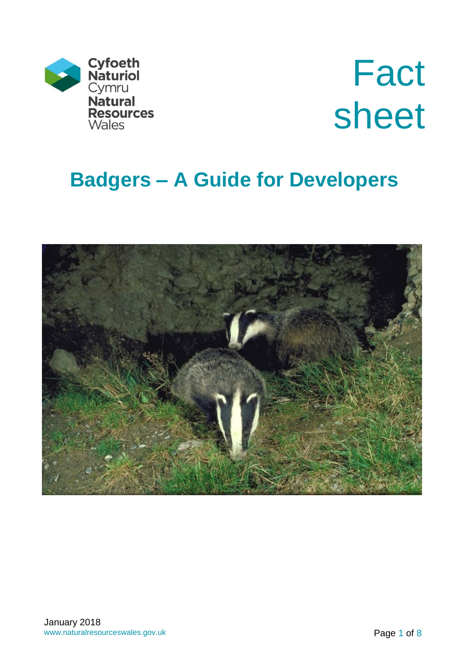

Fact sheet

# **Badgers – A Guide for Developers**

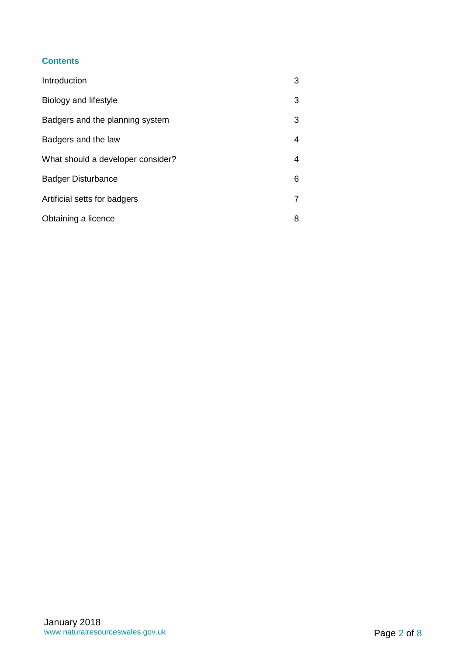#### **Contents**

| Introduction                      | 3              |
|-----------------------------------|----------------|
| Biology and lifestyle             | 3              |
| Badgers and the planning system   | 3              |
| Badgers and the law               | 4              |
| What should a developer consider? | 4              |
| <b>Badger Disturbance</b>         | 6              |
| Artificial setts for badgers      | $\overline{7}$ |
| Obtaining a licence               | 8              |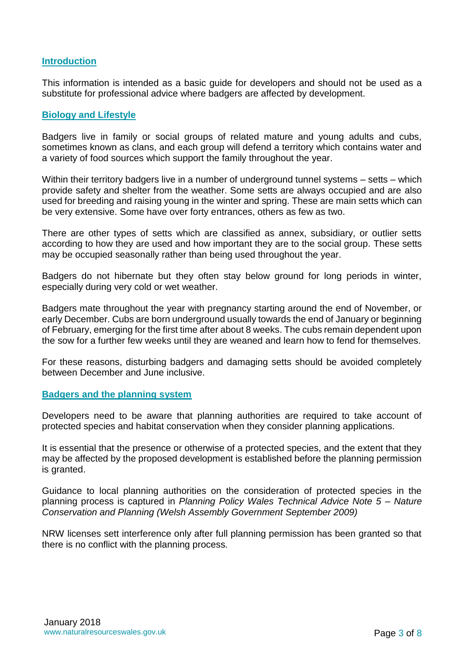#### **Introduction**

This information is intended as a basic guide for developers and should not be used as a substitute for professional advice where badgers are affected by development.

#### **Biology and Lifestyle**

Badgers live in family or social groups of related mature and young adults and cubs, sometimes known as clans, and each group will defend a territory which contains water and a variety of food sources which support the family throughout the year.

Within their territory badgers live in a number of underground tunnel systems – setts – which provide safety and shelter from the weather. Some setts are always occupied and are also used for breeding and raising young in the winter and spring. These are main setts which can be very extensive. Some have over forty entrances, others as few as two.

There are other types of setts which are classified as annex, subsidiary, or outlier setts according to how they are used and how important they are to the social group. These setts may be occupied seasonally rather than being used throughout the year.

Badgers do not hibernate but they often stay below ground for long periods in winter, especially during very cold or wet weather.

Badgers mate throughout the year with pregnancy starting around the end of November, or early December. Cubs are born underground usually towards the end of January or beginning of February, emerging for the first time after about 8 weeks. The cubs remain dependent upon the sow for a further few weeks until they are weaned and learn how to fend for themselves.

For these reasons, disturbing badgers and damaging setts should be avoided completely between December and June inclusive.

#### **Badgers and the planning system**

Developers need to be aware that planning authorities are required to take account of protected species and habitat conservation when they consider planning applications.

It is essential that the presence or otherwise of a protected species, and the extent that they may be affected by the proposed development is established before the planning permission is granted.

Guidance to local planning authorities on the consideration of protected species in the planning process is captured in *Planning Policy Wales Technical Advice Note 5 – Nature Conservation and Planning (Welsh Assembly Government September 2009)*

NRW licenses sett interference only after full planning permission has been granted so that there is no conflict with the planning process.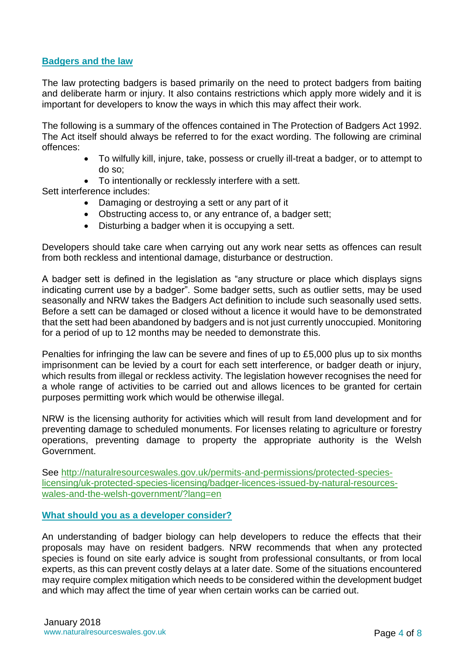## **Badgers and the law**

The law protecting badgers is based primarily on the need to protect badgers from baiting and deliberate harm or injury. It also contains restrictions which apply more widely and it is important for developers to know the ways in which this may affect their work.

The following is a summary of the offences contained in The Protection of Badgers Act 1992. The Act itself should always be referred to for the exact wording. The following are criminal offences:

- To wilfully kill, injure, take, possess or cruelly ill-treat a badger, or to attempt to do so;
- To intentionally or recklessly interfere with a sett.

Sett interference includes:

- Damaging or destroying a sett or any part of it
- Obstructing access to, or any entrance of, a badger sett;
- Disturbing a badger when it is occupying a sett.

Developers should take care when carrying out any work near setts as offences can result from both reckless and intentional damage, disturbance or destruction.

A badger sett is defined in the legislation as "any structure or place which displays signs indicating current use by a badger". Some badger setts, such as outlier setts, may be used seasonally and NRW takes the Badgers Act definition to include such seasonally used setts. Before a sett can be damaged or closed without a licence it would have to be demonstrated that the sett had been abandoned by badgers and is not just currently unoccupied. Monitoring for a period of up to 12 months may be needed to demonstrate this.

Penalties for infringing the law can be severe and fines of up to £5,000 plus up to six months imprisonment can be levied by a court for each sett interference, or badger death or injury, which results from illegal or reckless activity. The legislation however recognises the need for a whole range of activities to be carried out and allows licences to be granted for certain purposes permitting work which would be otherwise illegal.

NRW is the licensing authority for activities which will result from land development and for preventing damage to scheduled monuments. For licenses relating to agriculture or forestry operations, preventing damage to property the appropriate authority is the Welsh Government.

See [http://naturalresourceswales.gov.uk/permits-and-permissions/protected-species](http://naturalresourceswales.gov.uk/permits-and-permissions/protected-species-licensing/uk-protected-species-licensing/badger-licences-issued-by-natural-resources-wales-and-the-welsh-government/?lang=en)[licensing/uk-protected-species-licensing/badger-licences-issued-by-natural-resources](http://naturalresourceswales.gov.uk/permits-and-permissions/protected-species-licensing/uk-protected-species-licensing/badger-licences-issued-by-natural-resources-wales-and-the-welsh-government/?lang=en)[wales-and-the-welsh-government/?lang=en](http://naturalresourceswales.gov.uk/permits-and-permissions/protected-species-licensing/uk-protected-species-licensing/badger-licences-issued-by-natural-resources-wales-and-the-welsh-government/?lang=en)

#### **What should you as a developer consider?**

An understanding of badger biology can help developers to reduce the effects that their proposals may have on resident badgers. NRW recommends that when any protected species is found on site early advice is sought from professional consultants, or from local experts, as this can prevent costly delays at a later date. Some of the situations encountered may require complex mitigation which needs to be considered within the development budget and which may affect the time of year when certain works can be carried out.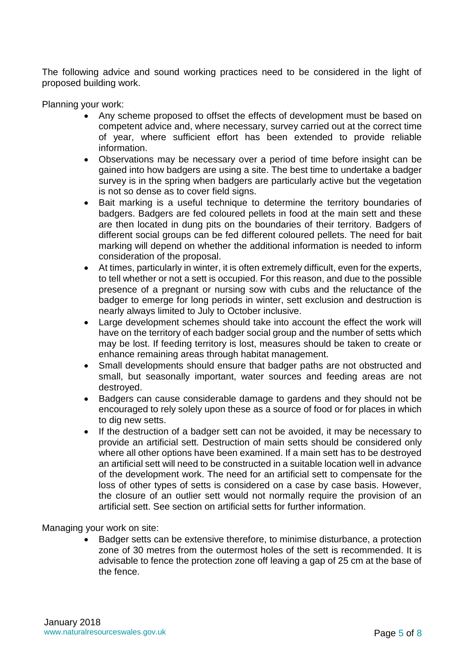The following advice and sound working practices need to be considered in the light of proposed building work.

Planning your work:

- Any scheme proposed to offset the effects of development must be based on competent advice and, where necessary, survey carried out at the correct time of year, where sufficient effort has been extended to provide reliable information.
- Observations may be necessary over a period of time before insight can be gained into how badgers are using a site. The best time to undertake a badger survey is in the spring when badgers are particularly active but the vegetation is not so dense as to cover field signs.
- Bait marking is a useful technique to determine the territory boundaries of badgers. Badgers are fed coloured pellets in food at the main sett and these are then located in dung pits on the boundaries of their territory. Badgers of different social groups can be fed different coloured pellets. The need for bait marking will depend on whether the additional information is needed to inform consideration of the proposal.
- At times, particularly in winter, it is often extremely difficult, even for the experts, to tell whether or not a sett is occupied. For this reason, and due to the possible presence of a pregnant or nursing sow with cubs and the reluctance of the badger to emerge for long periods in winter, sett exclusion and destruction is nearly always limited to July to October inclusive.
- Large development schemes should take into account the effect the work will have on the territory of each badger social group and the number of setts which may be lost. If feeding territory is lost, measures should be taken to create or enhance remaining areas through habitat management.
- Small developments should ensure that badger paths are not obstructed and small, but seasonally important, water sources and feeding areas are not destroyed.
- Badgers can cause considerable damage to gardens and they should not be encouraged to rely solely upon these as a source of food or for places in which to dig new setts.
- If the destruction of a badger sett can not be avoided, it may be necessary to provide an artificial sett. Destruction of main setts should be considered only where all other options have been examined. If a main sett has to be destroyed an artificial sett will need to be constructed in a suitable location well in advance of the development work. The need for an artificial sett to compensate for the loss of other types of setts is considered on a case by case basis. However, the closure of an outlier sett would not normally require the provision of an artificial sett. See section on artificial setts for further information.

Managing your work on site:

 Badger setts can be extensive therefore, to minimise disturbance, a protection zone of 30 metres from the outermost holes of the sett is recommended. It is advisable to fence the protection zone off leaving a gap of 25 cm at the base of the fence.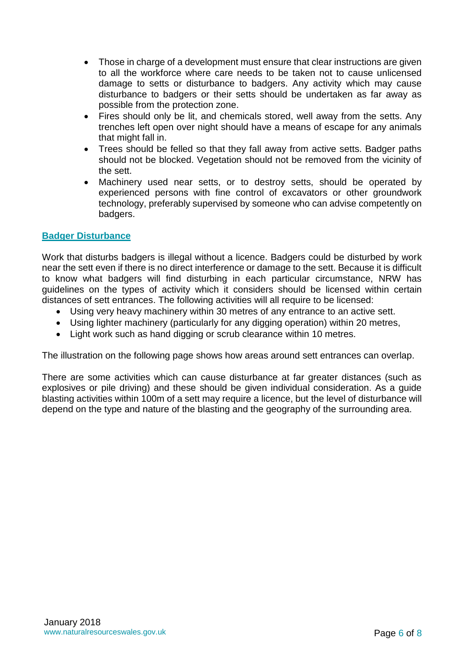- Those in charge of a development must ensure that clear instructions are given to all the workforce where care needs to be taken not to cause unlicensed damage to setts or disturbance to badgers. Any activity which may cause disturbance to badgers or their setts should be undertaken as far away as possible from the protection zone.
- Fires should only be lit, and chemicals stored, well away from the setts. Any trenches left open over night should have a means of escape for any animals that might fall in.
- Trees should be felled so that they fall away from active setts. Badger paths should not be blocked. Vegetation should not be removed from the vicinity of the sett.
- Machinery used near setts, or to destroy setts, should be operated by experienced persons with fine control of excavators or other groundwork technology, preferably supervised by someone who can advise competently on badgers.

## **Badger Disturbance**

Work that disturbs badgers is illegal without a licence. Badgers could be disturbed by work near the sett even if there is no direct interference or damage to the sett. Because it is difficult to know what badgers will find disturbing in each particular circumstance, NRW has guidelines on the types of activity which it considers should be licensed within certain distances of sett entrances. The following activities will all require to be licensed:

- Using very heavy machinery within 30 metres of any entrance to an active sett.
- Using lighter machinery (particularly for any digging operation) within 20 metres,
- Light work such as hand digging or scrub clearance within 10 metres.

The illustration on the following page shows how areas around sett entrances can overlap.

There are some activities which can cause disturbance at far greater distances (such as explosives or pile driving) and these should be given individual consideration. As a guide blasting activities within 100m of a sett may require a licence, but the level of disturbance will depend on the type and nature of the blasting and the geography of the surrounding area.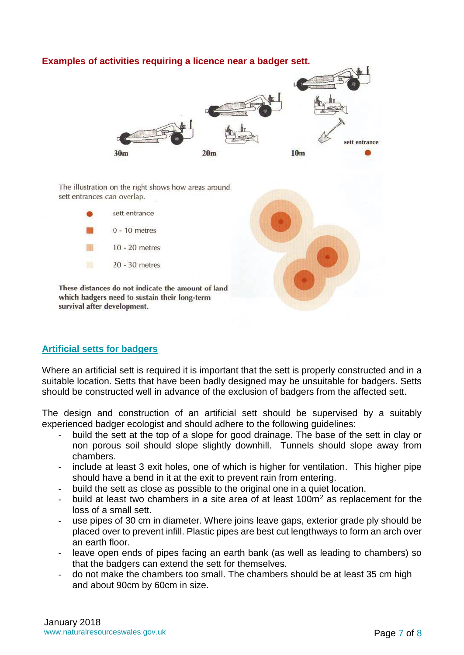#### **Examples of activities requiring a licence near a badger sett.**



The illustration on the right shows how areas around sett entrances can overlap.

These distances do not indicate the amount of land which badgers need to sustain their long-term



# **Artificial setts for badgers**

survival after development.

Where an artificial sett is required it is important that the sett is properly constructed and in a suitable location. Setts that have been badly designed may be unsuitable for badgers. Setts should be constructed well in advance of the exclusion of badgers from the affected sett.

The design and construction of an artificial sett should be supervised by a suitably experienced badger ecologist and should adhere to the following guidelines:

- build the sett at the top of a slope for good drainage. The base of the sett in clay or non porous soil should slope slightly downhill. Tunnels should slope away from chambers.
- include at least 3 exit holes, one of which is higher for ventilation. This higher pipe should have a bend in it at the exit to prevent rain from entering.
- build the sett as close as possible to the original one in a quiet location.
- build at least two chambers in a site area of at least  $100m<sup>2</sup>$  as replacement for the loss of a small sett.
- use pipes of 30 cm in diameter. Where joins leave gaps, exterior grade ply should be placed over to prevent infill. Plastic pipes are best cut lengthways to form an arch over an earth floor.
- leave open ends of pipes facing an earth bank (as well as leading to chambers) so that the badgers can extend the sett for themselves.
- do not make the chambers too small. The chambers should be at least 35 cm high and about 90cm by 60cm in size.